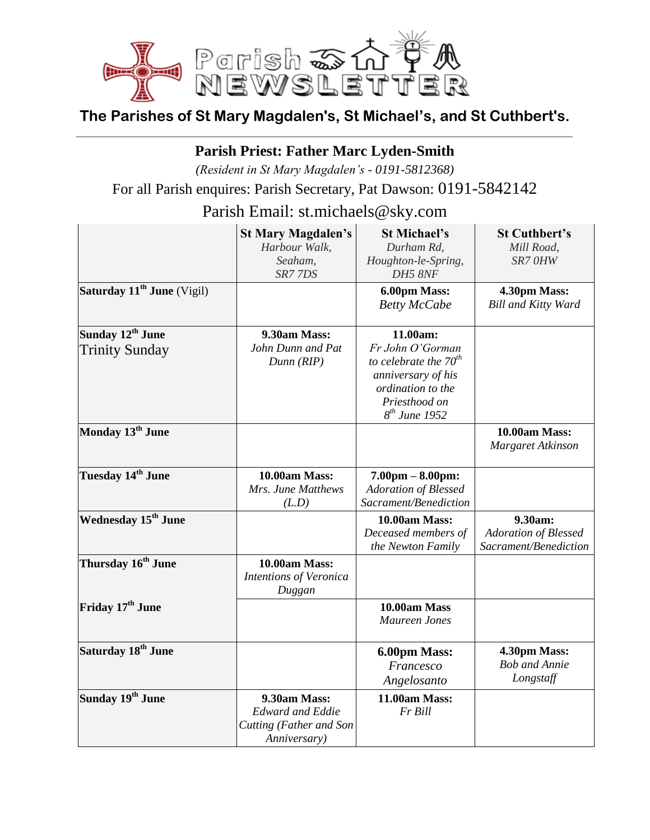

**The Parishes of St Mary Magdalen's, St Michael's, and St Cuthbert's.**

## **Parish Priest: Father Marc Lyden-Smith**

*(Resident in St Mary Magdalen's - 0191-5812368)*

For all Parish enquires: Parish Secretary, Pat Dawson: 0191-5842142

Parish Email: [st.michaels@sky.com](mailto:st.michaels@sky.com)

|                                                       | <b>St Mary Magdalen's</b><br>Harbour Walk,<br>Seaham,<br>SR77DS                    | <b>St Michael's</b><br>Durham Rd,<br>Houghton-le-Spring,<br>DH5 8NF                                                                          | <b>St Cuthbert's</b><br>Mill Road,<br>SR7 OHW                   |
|-------------------------------------------------------|------------------------------------------------------------------------------------|----------------------------------------------------------------------------------------------------------------------------------------------|-----------------------------------------------------------------|
| Saturday 11 <sup>th</sup> June (Vigil)                |                                                                                    | 6.00pm Mass:<br><b>Betty McCabe</b>                                                                                                          | 4.30pm Mass:<br><b>Bill and Kitty Ward</b>                      |
| Sunday 12 <sup>th</sup> June<br><b>Trinity Sunday</b> | 9.30am Mass:<br>John Dunn and Pat<br>Dunn(RIP)                                     | 11.00am:<br>Fr John O'Gorman<br>to celebrate the $70^{th}$<br>anniversary of his<br>ordination to the<br>Priesthood on<br>$8^{th}$ June 1952 |                                                                 |
| Monday 13 <sup>th</sup> June                          |                                                                                    |                                                                                                                                              | 10.00am Mass:<br>Margaret Atkinson                              |
| Tuesday 14 <sup>th</sup> June                         | 10.00am Mass:<br>Mrs. June Matthews<br>(L.D)                                       | $7.00 \text{pm} - 8.00 \text{pm}$ :<br><b>Adoration of Blessed</b><br>Sacrament/Benediction                                                  |                                                                 |
| Wednesday 15 <sup>th</sup> June                       |                                                                                    | 10.00am Mass:<br>Deceased members of<br>the Newton Family                                                                                    | 9.30am:<br><b>Adoration of Blessed</b><br>Sacrament/Benediction |
| Thursday 16 <sup>th</sup> June                        | 10.00am Mass:<br><b>Intentions of Veronica</b><br>Duggan                           |                                                                                                                                              |                                                                 |
| Friday 17 <sup>th</sup> June                          |                                                                                    | 10.00am Mass<br><b>Maureen Jones</b>                                                                                                         |                                                                 |
| Saturday 18 <sup>th</sup> June                        |                                                                                    | 6.00pm Mass:<br>Francesco<br>Angelosanto                                                                                                     | 4.30pm Mass:<br><b>Bob and Annie</b><br>Longstaff               |
| Sunday 19 <sup>th</sup> June                          | 9.30am Mass:<br><b>Edward and Eddie</b><br>Cutting (Father and Son<br>Anniversary) | 11.00am Mass:<br>Fr Bill                                                                                                                     |                                                                 |